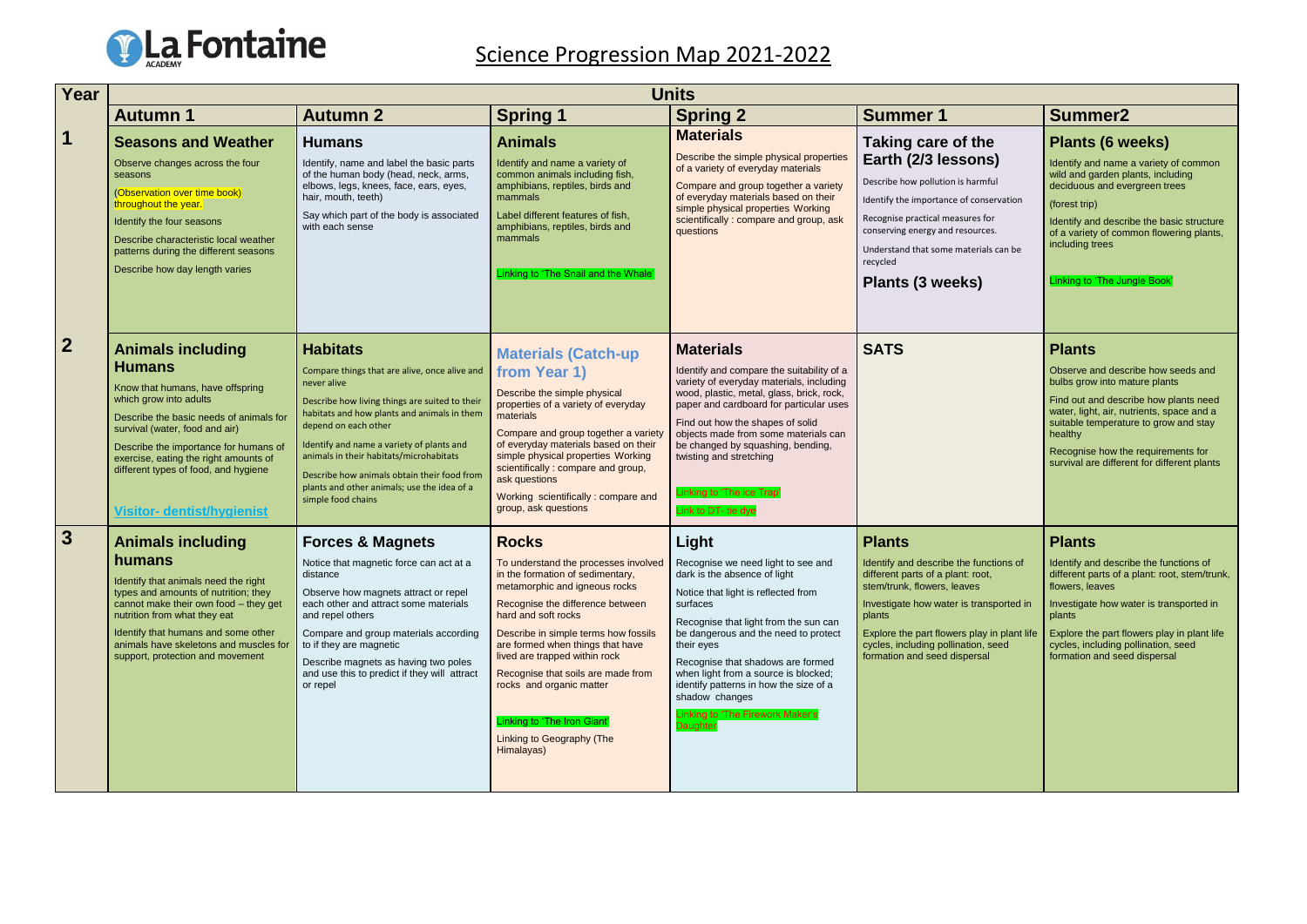

## Science Progression Map 2021-2022

| Year                    | <b>Units</b>                                                                                                                                                                                                                                                                                                                                        |                                                                                                                                                                                                                                                                                                                                                                                                                      |                                                                                                                                                                                                                                                                                                                                                                                                                                                                                           |                                                                                                                                                                                                                                                                                                                                                                                                   |                                                                                                                                                                                                                                                                                                        |                                                                                                                                                                                    |
|-------------------------|-----------------------------------------------------------------------------------------------------------------------------------------------------------------------------------------------------------------------------------------------------------------------------------------------------------------------------------------------------|----------------------------------------------------------------------------------------------------------------------------------------------------------------------------------------------------------------------------------------------------------------------------------------------------------------------------------------------------------------------------------------------------------------------|-------------------------------------------------------------------------------------------------------------------------------------------------------------------------------------------------------------------------------------------------------------------------------------------------------------------------------------------------------------------------------------------------------------------------------------------------------------------------------------------|---------------------------------------------------------------------------------------------------------------------------------------------------------------------------------------------------------------------------------------------------------------------------------------------------------------------------------------------------------------------------------------------------|--------------------------------------------------------------------------------------------------------------------------------------------------------------------------------------------------------------------------------------------------------------------------------------------------------|------------------------------------------------------------------------------------------------------------------------------------------------------------------------------------|
|                         | <b>Autumn 1</b>                                                                                                                                                                                                                                                                                                                                     | <b>Autumn 2</b>                                                                                                                                                                                                                                                                                                                                                                                                      | <b>Spring 1</b>                                                                                                                                                                                                                                                                                                                                                                                                                                                                           | <b>Spring 2</b>                                                                                                                                                                                                                                                                                                                                                                                   | <b>Summer 1</b>                                                                                                                                                                                                                                                                                        | <b>Summer2</b>                                                                                                                                                                     |
| $\overline{\mathbf{1}}$ | <b>Seasons and Weather</b><br>Observe changes across the four<br>seasons<br>(Observation over time book)<br>throughout the year.<br>Identify the four seasons<br>Describe characteristic local weather<br>patterns during the different seasons<br>Describe how day length varies                                                                   | <b>Humans</b><br>Identify, name and label the basic parts<br>of the human body (head, neck, arms,<br>elbows, legs, knees, face, ears, eyes,<br>hair, mouth, teeth)<br>Say which part of the body is associated<br>with each sense                                                                                                                                                                                    | <b>Animals</b><br>Identify and name a variety of<br>common animals including fish,<br>amphibians, reptiles, birds and<br>mammals<br>Label different features of fish,<br>amphibians, reptiles, birds and<br>mammals<br>Linking to 'The Snail and the Whale'                                                                                                                                                                                                                               | <b>Materials</b><br>Describe the simple physical properties<br>of a variety of everyday materials<br>Compare and group together a variety<br>of everyday materials based on their<br>simple physical properties Working<br>scientifically : compare and group, ask<br>questions                                                                                                                   | Taking care of the<br>Earth (2/3 lessons)<br>Describe how pollution is harmful<br>Identify the importance of conservation<br>Recognise practical measures for<br>conserving energy and resources.<br>Understand that some materials can be<br>recycled<br>Plants (3 weeks)                             | Plants (6 w<br>Identify and name<br>wild and garden p<br>deciduous and ev<br>(forest trip)<br>Identify and descr<br>of a variety of com<br>including trees<br>Linking to 'The Jur  |
| $\overline{2}$          | <b>Animals including</b><br><b>Humans</b><br>Know that humans, have offspring<br>which grow into adults<br>Describe the basic needs of animals for<br>survival (water, food and air)<br>Describe the importance for humans of<br>exercise, eating the right amounts of<br>different types of food, and hygiene<br><b>Visitor- dentist/hygienist</b> | <b>Habitats</b><br>Compare things that are alive, once alive and<br>never alive<br>Describe how living things are suited to their<br>habitats and how plants and animals in them<br>depend on each other<br>Identify and name a variety of plants and<br>animals in their habitats/microhabitats<br>Describe how animals obtain their food from<br>plants and other animals; use the idea of a<br>simple food chains | <b>Materials (Catch-up</b><br>from Year 1)<br>Describe the simple physical<br>properties of a variety of everyday<br>materials<br>Compare and group together a variety<br>of everyday materials based on their<br>simple physical properties Working<br>scientifically : compare and group,<br>ask questions<br>Working scientifically : compare and<br>group, ask questions                                                                                                              | <b>Materials</b><br>Identify and compare the suitability of a<br>variety of everyday materials, including<br>wood, plastic, metal, glass, brick, rock,<br>paper and cardboard for particular uses<br>Find out how the shapes of solid<br>objects made from some materials can<br>be changed by squashing, bending,<br>twisting and stretching<br>Linking to 'The ice Trap'<br>Link to DT- tie dye | <b>SATS</b>                                                                                                                                                                                                                                                                                            | <b>Plants</b><br>Observe and desc<br>bulbs grow into ma<br>Find out and desc<br>water, light, air, nu<br>suitable temperatu<br>healthy<br>Recognise how th<br>survival are differe |
| 3                       | <b>Animals including</b><br>humans<br>Identify that animals need the right<br>types and amounts of nutrition; they<br>cannot make their own food - they get<br>nutrition from what they eat<br>Identify that humans and some other<br>animals have skeletons and muscles for<br>support, protection and movement                                    | <b>Forces &amp; Magnets</b><br>Notice that magnetic force can act at a<br>distance<br>Observe how magnets attract or repel<br>each other and attract some materials<br>and repel others<br>Compare and group materials according<br>to if they are magnetic<br>Describe magnets as having two poles<br>and use this to predict if they will attract<br>or repel                                                      | <b>Rocks</b><br>To understand the processes involved   Recognise we need light to see and<br>in the formation of sedimentary,<br>metamorphic and igneous rocks<br>Recognise the difference between<br>hard and soft rocks<br>Describe in simple terms how fossils<br>are formed when things that have<br>lived are trapped within rock<br>Recognise that soils are made from<br>rocks and organic matter<br>Linking to 'The Iron Giant'<br><b>Linking to Geography (The</b><br>Himalayas) | Light<br>dark is the absence of light<br>Notice that light is reflected from<br>surfaces<br>Recognise that light from the sun can<br>be dangerous and the need to protect<br>their eyes<br>Recognise that shadows are formed<br>when light from a source is blocked;<br>identify patterns in how the size of a<br>shadow changes<br>Linking to 'The Firework Maker's<br>Daughter                  | <b>Plants</b><br>Identify and describe the functions of<br>different parts of a plant: root,<br>stem/trunk, flowers, leaves<br>Investigate how water is transported in<br>plants<br>Explore the part flowers play in plant life<br>cycles, including pollination, seed<br>formation and seed dispersal | <b>Plants</b><br>Identify and descr<br>different parts of a<br>flowers, leaves<br>Investigate how w<br>plants<br>Explore the part fle<br>cycles, including p<br>formation and see  |

|                                                    | <b>Summer2</b>                                                                                                                                                                                                                                                                                                      |
|----------------------------------------------------|---------------------------------------------------------------------------------------------------------------------------------------------------------------------------------------------------------------------------------------------------------------------------------------------------------------------|
| €<br>3)<br>ίuί<br>ervation<br>١r<br>s.<br>s can be | Plants (6 weeks)<br>Identify and name a variety of common<br>wild and garden plants, including<br>deciduous and evergreen trees<br>(forest trip)<br>Identify and describe the basic structure<br>of a variety of common flowering plants,<br>including trees<br>Linking to 'The Jungle Book'                        |
|                                                    | <b>Plants</b><br>Observe and describe how seeds and<br>bulbs grow into mature plants<br>Find out and describe how plants need<br>water, light, air, nutrients, space and a<br>suitable temperature to grow and stay<br>healthy<br>Recognise how the requirements for<br>survival are different for different plants |
| ctions of:<br>sported in<br>in plant life<br>seed  | <b>Plants</b><br>Identify and describe the functions of<br>different parts of a plant: root, stem/trunk,<br>flowers, leaves<br>Investigate how water is transported in<br>plants<br>Explore the part flowers play in plant life<br>cycles, including pollination, seed<br>formation and seed dispersal              |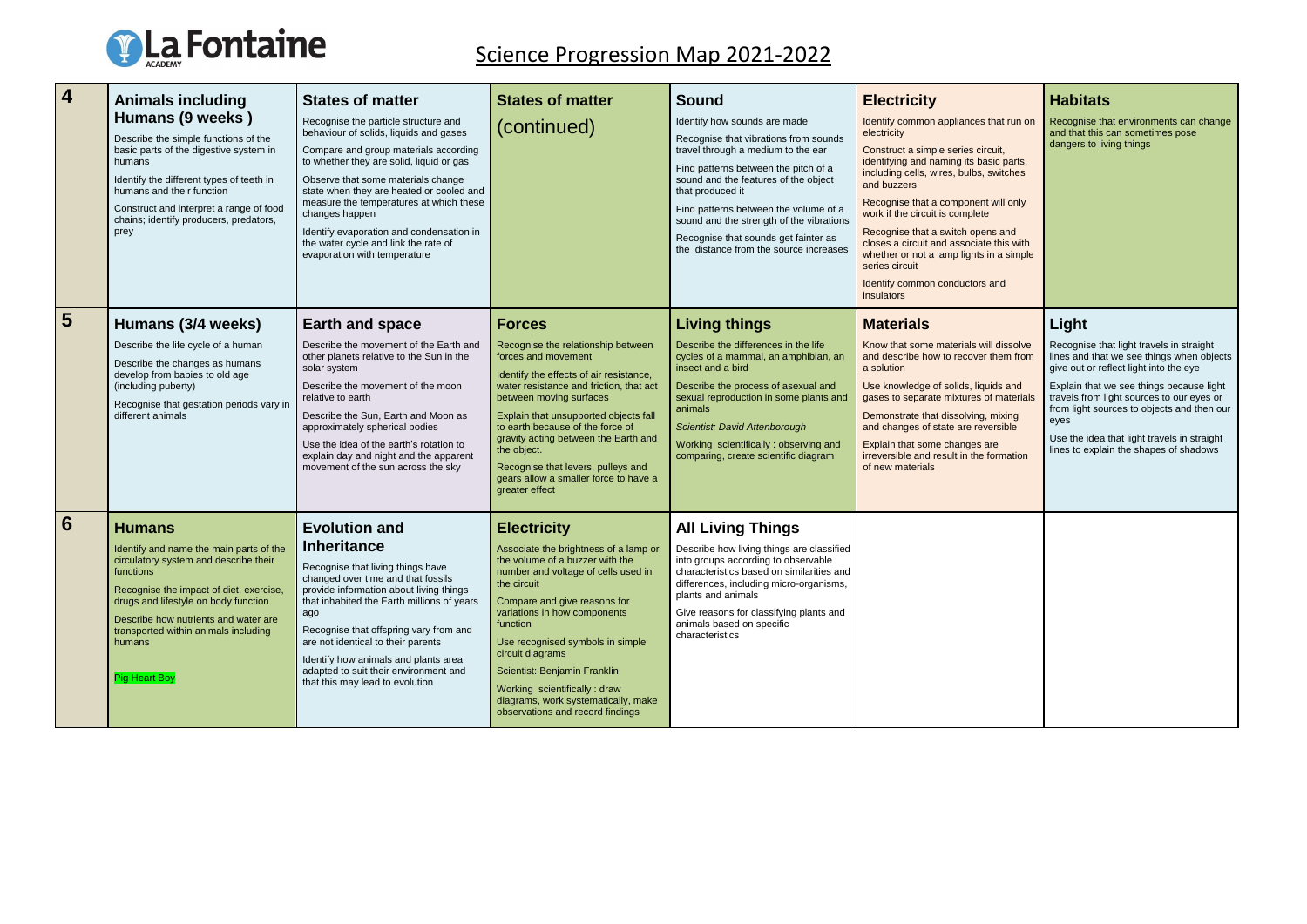

## Science Progression Map 2021-2022

| 4              | <b>Animals including</b><br>Humans (9 weeks)<br>Describe the simple functions of the<br>basic parts of the digestive system in<br>humans<br>Identify the different types of teeth in<br>humans and their function<br>Construct and interpret a range of food<br>chains; identify producers, predators,<br>prey      | <b>States of matter</b><br>Recognise the particle structure and<br>behaviour of solids, liquids and gases<br>Compare and group materials according<br>to whether they are solid, liquid or gas<br>Observe that some materials change<br>state when they are heated or cooled and<br>measure the temperatures at which these<br>changes happen<br>Identify evaporation and condensation in<br>the water cycle and link the rate of<br>evaporation with temperature | <b>States of matter</b><br>(continued)                                                                                                                                                                                                                                                                                                                                                                                               | <b>Sound</b><br>Identify how sounds are made<br>Recognise that vibrations from sounds<br>travel through a medium to the ear<br>Find patterns between the pitch of a<br>sound and the features of the object<br>that produced it<br>Find patterns between the volume of a<br>sound and the strength of the vibrations<br>Recognise that sounds get fainter as<br>the distance from the source increases | <b>Electricity</b><br>Identify common appliances that run on<br>electricity<br>Construct a simple series circuit,<br>identifying and naming its basic parts,<br>including cells, wires, bulbs, switches<br>and buzzers<br>Recognise that a component will only<br>work if the circuit is complete<br>Recognise that a switch opens and<br>closes a circuit and associate this with<br>whether or not a lamp lights in a simple<br>series circuit<br>Identify common conductors and<br>insulators | <b>Habitats</b><br>Recognise that environments can change<br>and that this can sometimes pose<br>dangers to living things                                                                                                                                                                                                                                                        |
|----------------|---------------------------------------------------------------------------------------------------------------------------------------------------------------------------------------------------------------------------------------------------------------------------------------------------------------------|-------------------------------------------------------------------------------------------------------------------------------------------------------------------------------------------------------------------------------------------------------------------------------------------------------------------------------------------------------------------------------------------------------------------------------------------------------------------|--------------------------------------------------------------------------------------------------------------------------------------------------------------------------------------------------------------------------------------------------------------------------------------------------------------------------------------------------------------------------------------------------------------------------------------|--------------------------------------------------------------------------------------------------------------------------------------------------------------------------------------------------------------------------------------------------------------------------------------------------------------------------------------------------------------------------------------------------------|--------------------------------------------------------------------------------------------------------------------------------------------------------------------------------------------------------------------------------------------------------------------------------------------------------------------------------------------------------------------------------------------------------------------------------------------------------------------------------------------------|----------------------------------------------------------------------------------------------------------------------------------------------------------------------------------------------------------------------------------------------------------------------------------------------------------------------------------------------------------------------------------|
| 5 <sup>5</sup> | Humans (3/4 weeks)<br>Describe the life cycle of a human<br>Describe the changes as humans<br>develop from babies to old age<br>(including puberty)<br>Recognise that gestation periods vary in<br>different animals                                                                                                | <b>Earth and space</b><br>Describe the movement of the Earth and<br>other planets relative to the Sun in the<br>solar system<br>Describe the movement of the moon<br>relative to earth<br>Describe the Sun, Earth and Moon as<br>approximately spherical bodies<br>Use the idea of the earth's rotation to<br>explain day and night and the apparent<br>movement of the sun across the sky                                                                        | <b>Forces</b><br>Recognise the relationship between<br>forces and movement<br>Identify the effects of air resistance,<br>water resistance and friction, that act<br>between moving surfaces<br>Explain that unsupported objects fall<br>to earth because of the force of<br>gravity acting between the Earth and<br>the object.<br>Recognise that levers, pulleys and<br>gears allow a smaller force to have a<br>greater effect     | <b>Living things</b><br>Describe the differences in the life<br>cycles of a mammal, an amphibian, an<br>insect and a bird<br>Describe the process of asexual and<br>sexual reproduction in some plants and<br>animals<br>Scientist: David Attenborough<br>Working scientifically: observing and<br>comparing, create scientific diagram                                                                | <b>Materials</b><br>Know that some materials will dissolve<br>and describe how to recover them from<br>a solution<br>Use knowledge of solids, liquids and<br>gases to separate mixtures of materials<br>Demonstrate that dissolving, mixing<br>and changes of state are reversible<br>Explain that some changes are<br>irreversible and result in the formation<br>of new materials                                                                                                              | Light<br>Recognise that light travels in straight<br>lines and that we see things when objects<br>give out or reflect light into the eye<br>Explain that we see things because light<br>travels from light sources to our eyes or<br>from light sources to objects and then our<br>eyes<br>Use the idea that light travels in straight<br>lines to explain the shapes of shadows |
| 6              | <b>Humans</b><br>Identify and name the main parts of the<br>circulatory system and describe their<br>functions<br>Recognise the impact of diet, exercise,<br>drugs and lifestyle on body function<br>Describe how nutrients and water are<br>transported within animals including<br>humans<br><b>Pig Heart Boy</b> | <b>Evolution and</b><br><b>Inheritance</b><br>Recognise that living things have<br>changed over time and that fossils<br>provide information about living things<br>that inhabited the Earth millions of years<br>ago<br>Recognise that offspring vary from and<br>are not identical to their parents<br>Identify how animals and plants area<br>adapted to suit their environment and<br>that this may lead to evolution                                         | <b>Electricity</b><br>Associate the brightness of a lamp or<br>the volume of a buzzer with the<br>number and voltage of cells used in<br>the circuit<br>Compare and give reasons for<br>variations in how components<br>function<br>Use recognised symbols in simple<br>circuit diagrams<br>Scientist: Benjamin Franklin<br>Working scientifically : draw<br>diagrams, work systematically, make<br>observations and record findings | <b>All Living Things</b><br>Describe how living things are classified<br>into groups according to observable<br>characteristics based on similarities and<br>differences, including micro-organisms,<br>plants and animals<br>Give reasons for classifying plants and<br>animals based on specific<br>characteristics                                                                                  |                                                                                                                                                                                                                                                                                                                                                                                                                                                                                                  |                                                                                                                                                                                                                                                                                                                                                                                  |